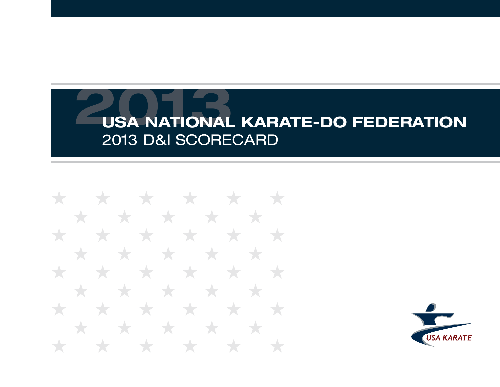\* \* \* \* \* \* \* \* \* \* \* \* \* \* \* \* \* \* \* \* **State State** \* \* \* \* \* \* \* \* ★ **Type** ★ \* \* \* \* \* \* \* \* \* \* \* \*  $\star$ ╅

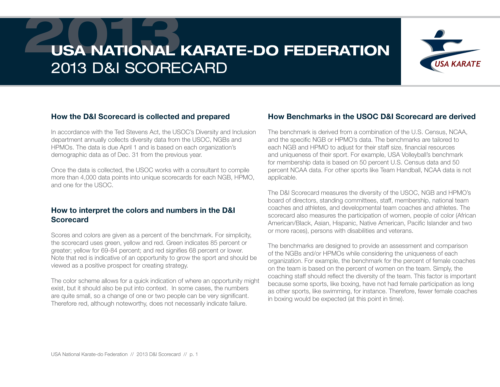

#### How the D&I Scorecard is collected and prepared

In accordance with the Ted Stevens Act, the USOC's Diversity and Inclusion department annually collects diversity data from the USOC, NGBs and HPMOs. The data is due April 1 and is based on each organization's demographic data as of Dec. 31 from the previous year.

Once the data is collected, the USOC works with a consultant to compile more than 4,000 data points into unique scorecards for each NGB, HPMO, and one for the USOC.

#### How to interpret the colors and numbers in the D&I **Scorecard**

Scores and colors are given as a percent of the benchmark. For simplicity, the scorecard uses green, yellow and red. Green indicates 85 percent or greater; yellow for 69-84 percent; and red signifies 68 percent or lower. Note that red is indicative of an opportunity to grow the sport and should be viewed as a positive prospect for creating strategy.

The color scheme allows for a quick indication of where an opportunity might exist, but it should also be put into context. In some cases, the numbers are quite small, so a change of one or two people can be very significant. Therefore red, although noteworthy, does not necessarily indicate failure.

#### How Benchmarks in the USOC D&I Scorecard are derived

The benchmark is derived from a combination of the U.S. Census, NCAA, and the specific NGB or HPMO's data. The benchmarks are tailored to each NGB and HPMO to adjust for their staff size, financial resources and uniqueness of their sport. For example, USA Volleyball's benchmark for membership data is based on 50 percent U.S. Census data and 50 percent NCAA data. For other sports like Team Handball, NCAA data is not applicable.

The D&I Scorecard measures the diversity of the USOC, NGB and HPMO's board of directors, standing committees, staff, membership, national team coaches and athletes, and developmental team coaches and athletes. The scorecard also measures the participation of women, people of color (African American/Black, Asian, Hispanic, Native American, Pacific Islander and two or more races), persons with disabilities and veterans.

The benchmarks are designed to provide an assessment and comparison of the NGBs and/or HPMOs while considering the uniqueness of each organization. For example, the benchmark for the percent of female coaches on the team is based on the percent of women on the team. Simply, the coaching staff should reflect the diversity of the team. This factor is important because some sports, like boxing, have not had female participation as long as other sports, like swimming, for instance. Therefore, fewer female coaches in boxing would be expected (at this point in time).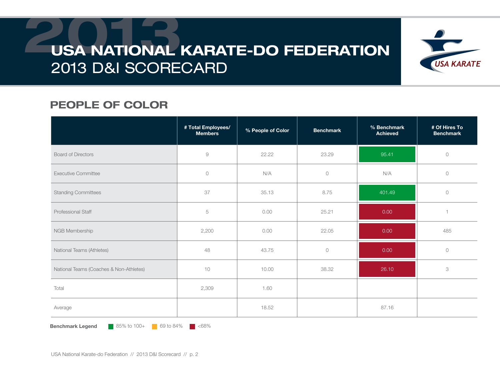

### PEOPLE OF COLOR

|                                         | # Total Employees/<br><b>Members</b> | % People of Color | <b>Benchmark</b>    | % Benchmark<br><b>Achieved</b> | # Of Hires To<br><b>Benchmark</b> |
|-----------------------------------------|--------------------------------------|-------------------|---------------------|--------------------------------|-----------------------------------|
| <b>Board of Directors</b>               | $\mathcal G$                         | 22.22             | 23.29               | 95.41                          | $\bigcirc$                        |
| <b>Executive Committee</b>              | $\circ$                              | N/A               | $\circlearrowright$ | N/A                            | $\circ$                           |
| <b>Standing Committees</b>              | 37                                   | 35.13             | 8.75                | 401.49                         | $\circ$                           |
| Professional Staff                      | 5                                    | 0.00              | 25.21               | 0.00                           |                                   |
| NGB Membership                          | 2,200                                | 0.00              | 22.05               | 0.00                           | 485                               |
| National Teams (Athletes)               | 48                                   | 43.75             | $\bigcirc$          | 0.00                           | $\circlearrowright$               |
| National Teams (Coaches & Non-Athletes) | 10                                   | 10.00             | 38.32               | 26.10                          | 3                                 |
| Total                                   | 2,309                                | 1.60              |                     |                                |                                   |
| Average                                 |                                      | 18.52             |                     | 87.16                          |                                   |

**Benchmark Legend** 85% to 100+ 69 to 84%  $\blacksquare$  <68%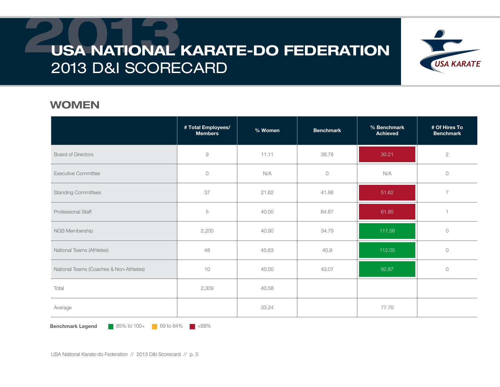

#### WOMEN

|                                         | # Total Employees/<br><b>Members</b> | % Women | <b>Benchmark</b>    | % Benchmark<br><b>Achieved</b> | # Of Hires To<br><b>Benchmark</b> |
|-----------------------------------------|--------------------------------------|---------|---------------------|--------------------------------|-----------------------------------|
| <b>Board of Directors</b>               | 9                                    | 11.11   | 36.78               | 30.21                          | $\sqrt{2}$                        |
| <b>Executive Committee</b>              | $\circ$                              | N/A     | $\circlearrowright$ | N/A                            | $\circ$                           |
| <b>Standing Committees</b>              | 37                                   | 21.62   | 41.88               | 51.62                          | $\overline{7}$                    |
| Professional Staff                      | 5                                    | 40.00   | 64.67               | 61.85                          |                                   |
| NGB Membership                          | 2,200                                | 40.90   | 34.79               | 117.56                         | $\circ$                           |
| National Teams (Athletes)               | 48                                   | 45.83   | 40.9                | 112.05                         | $\circ$                           |
| National Teams (Coaches & Non-Athletes) | 10                                   | 40.00   | 43.07               | 92.87                          | $\bigcirc$                        |
| Total                                   | 2,309                                | 40.58   |                     |                                |                                   |
| Average                                 |                                      | 33.24   |                     | 77.70                          |                                   |

**Benchmark Legend** 85% to 100+ 69 to 84%  $\blacksquare$  <68%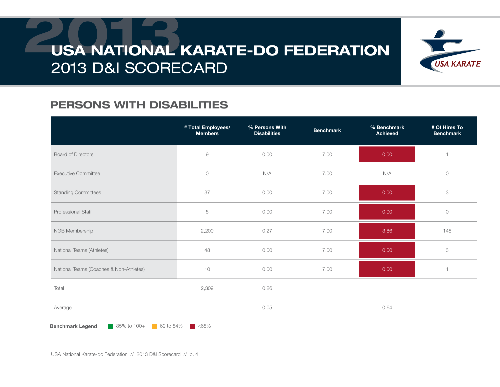

#### PERSONS WITH DISABILITIES

|                                         | # Total Employees/<br><b>Members</b> | % Persons With<br><b>Disabilities</b> | <b>Benchmark</b> | % Benchmark<br><b>Achieved</b> | # Of Hires To<br><b>Benchmark</b> |
|-----------------------------------------|--------------------------------------|---------------------------------------|------------------|--------------------------------|-----------------------------------|
| <b>Board of Directors</b>               | 9                                    | 0.00                                  | 7.00             | 0.00                           |                                   |
| <b>Executive Committee</b>              | $\circlearrowright$                  | N/A                                   | 7.00             | N/A                            | $\circ$                           |
| <b>Standing Committees</b>              | 37                                   | 0.00                                  | 7.00             | 0.00                           | 3                                 |
| Professional Staff                      | 5                                    | 0.00                                  | 7.00             | 0.00                           | $\circlearrowright$               |
| NGB Membership                          | 2,200                                | 0.27                                  | 7.00             | 3.86                           | 148                               |
| National Teams (Athletes)               | 48                                   | 0.00                                  | 7.00             | 0.00                           | 3                                 |
| National Teams (Coaches & Non-Athletes) | 10                                   | 0.00                                  | 7.00             | 0.00                           |                                   |
| Total                                   | 2,309                                | 0.26                                  |                  |                                |                                   |
| Average                                 |                                      | 0.05                                  |                  | 0.64                           |                                   |

**Benchmark Legend** 85% to 100+ 69 to 84%  $\blacksquare$  <68%

USA National Karate-do Federation // 2013 D&I Scorecard // p. 4